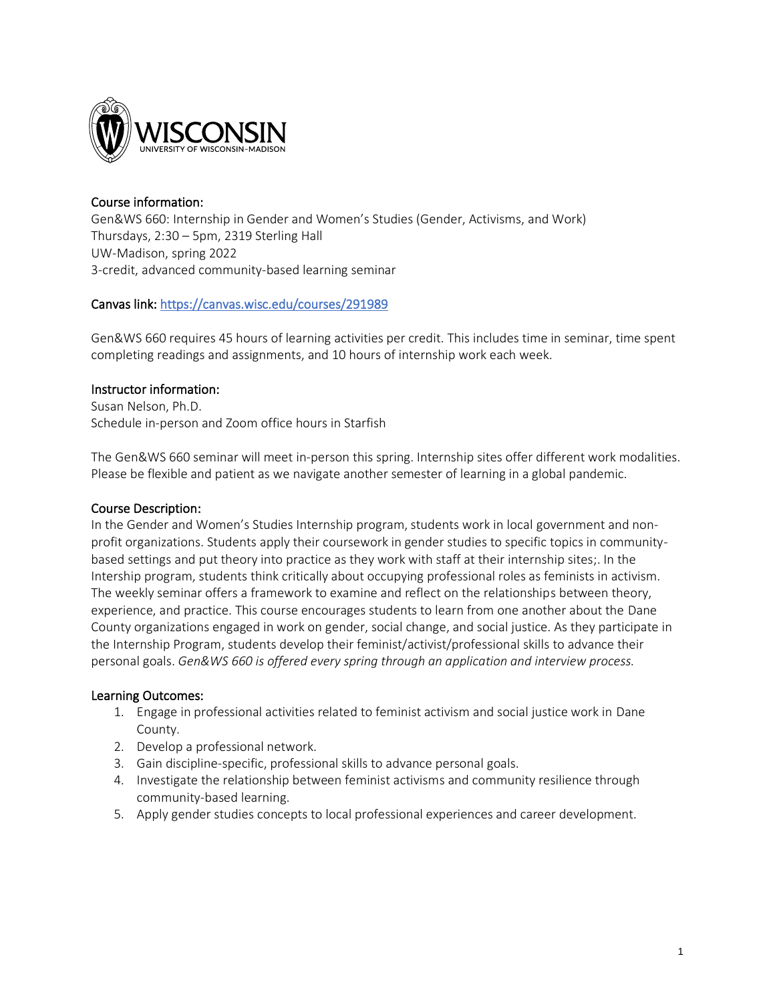

# Course information:

Gen&WS 660: Internship in Gender and Women's Studies (Gender, Activisms, and Work) Thursdays, 2:30 – 5pm, 2319 Sterling Hall UW-Madison, spring 2022 3-credit, advanced community-based learning seminar

# Canvas link[: https://canvas.wisc.edu/courses/291989](https://canvas.wisc.edu/courses/291989)

Gen&WS 660 requires 45 hours of learning activities per credit. This includes time in seminar, time spent completing readings and assignments, and 10 hours of internship work each week.

# Instructor information:

Susan Nelson, Ph.D. Schedule in-person and Zoom office hours in Starfish

The Gen&WS 660 seminar will meet in-person this spring. Internship sites offer different work modalities. Please be flexible and patient as we navigate another semester of learning in a global pandemic.

## Course Description:

In the Gender and Women's Studies Internship program, students work in local government and nonprofit organizations. Students apply their coursework in gender studies to specific topics in communitybased settings and put theory into practice as they work with staff at their internship sites;. In the Intership program, students think critically about occupying professional roles as feminists in activism. The weekly seminar offers a framework to examine and reflect on the relationships between theory, experience, and practice. This course encourages students to learn from one another about the Dane County organizations engaged in work on gender, social change, and social justice. As they participate in the Internship Program, students develop their feminist/activist/professional skills to advance their personal goals. *Gen&WS 660 is offered every spring through an application and interview process.*

## Learning Outcomes:

- 1. Engage in professional activities related to feminist activism and social justice work in Dane County.
- 2. Develop a professional network.
- 3. Gain discipline-specific, professional skills to advance personal goals.
- 4. Investigate the relationship between feminist activisms and community resilience through community-based learning.
- 5. Apply gender studies concepts to local professional experiences and career development.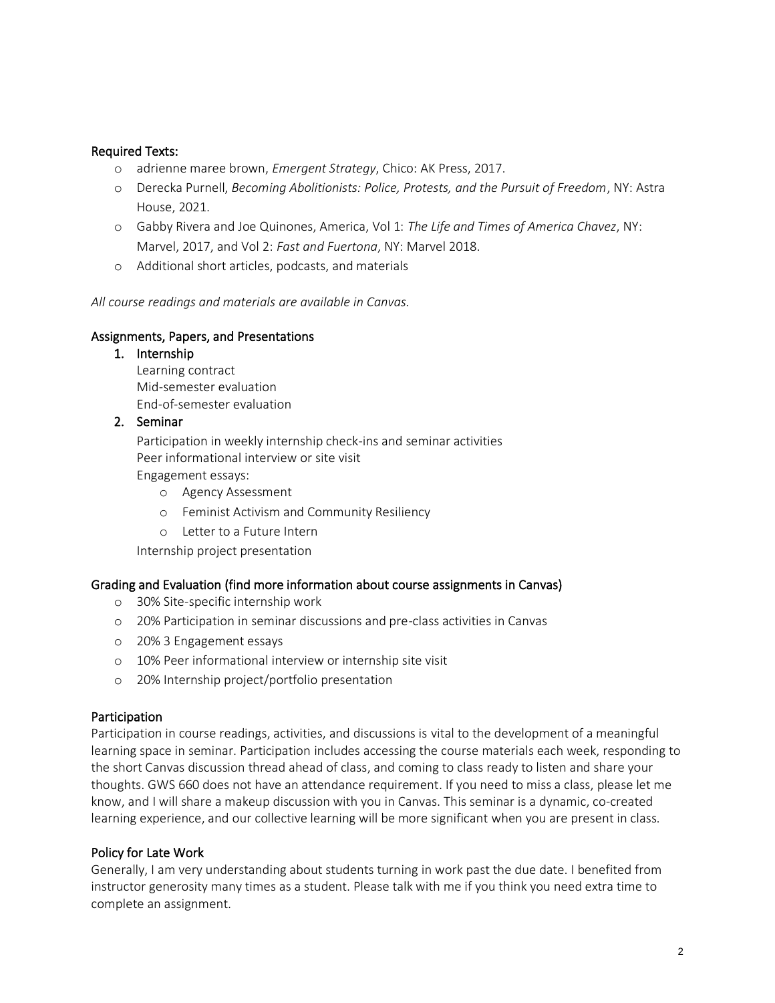## Required Texts:

- o adrienne maree brown, *Emergent Strategy*, Chico: AK Press, 2017.
- o Derecka Purnell, *Becoming Abolitionists: Police, Protests, and the Pursuit of Freedom*, NY: Astra House, 2021.
- o Gabby Rivera and Joe Quinones, America, Vol 1: *The Life and Times of America Chavez*, NY: Marvel, 2017, and Vol 2: *Fast and Fuertona*, NY: Marvel 2018.
- o Additional short articles, podcasts, and materials

*All course readings and materials are available in Canvas.*

## Assignments, Papers, and Presentations

## 1. Internship Learning contract Mid-semester evaluation End-of-semester evaluation

## 2. Seminar

Participation in weekly internship check-ins and seminar activities Peer informational interview or site visit

Engagement essays:

- o Agency Assessment
- o Feminist Activism and Community Resiliency
- o Letter to a Future Intern

Internship project presentation

## Grading and Evaluation (find more information about course assignments in Canvas)

- o 30% Site-specific internship work
- o 20% Participation in seminar discussions and pre-class activities in Canvas
- o 20% 3 Engagement essays
- o 10% Peer informational interview or internship site visit
- o 20% Internship project/portfolio presentation

## **Participation**

Participation in course readings, activities, and discussions is vital to the development of a meaningful learning space in seminar. Participation includes accessing the course materials each week, responding to the short Canvas discussion thread ahead of class, and coming to class ready to listen and share your thoughts. GWS 660 does not have an attendance requirement. If you need to miss a class, please let me know, and I will share a makeup discussion with you in Canvas. This seminar is a dynamic, co-created learning experience, and our collective learning will be more significant when you are present in class.

#### Policy for Late Work

Generally, I am very understanding about students turning in work past the due date. I benefited from instructor generosity many times as a student. Please talk with me if you think you need extra time to complete an assignment.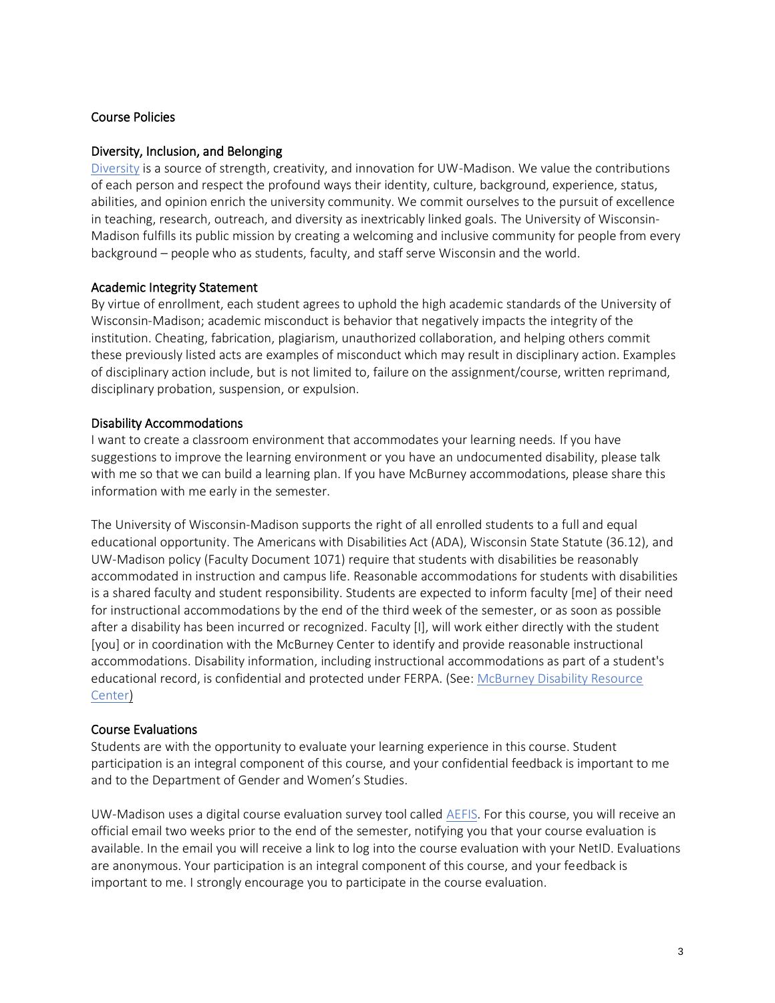## Course Policies

#### Diversity, Inclusion, and Belonging

[Diversity](https://diversity.wisc.edu/) is a source of strength, creativity, and innovation for UW-Madison. We value the contributions of each person and respect the profound ways their identity, culture, background, experience, status, abilities, and opinion enrich the university community. We commit ourselves to the pursuit of excellence in teaching, research, outreach, and diversity as inextricably linked goals. The University of Wisconsin-Madison fulfills its public mission by creating a welcoming and inclusive community for people from every background – people who as students, faculty, and staff serve Wisconsin and the world.

## Academic Integrity Statement

By virtue of enrollment, each student agrees to uphold the high academic standards of the University of Wisconsin-Madison; academic misconduct is behavior that negatively impacts the integrity of the institution. Cheating, fabrication, plagiarism, unauthorized collaboration, and helping others commit these previously listed acts are examples of misconduct which may result in disciplinary action. Examples of disciplinary action include, but is not limited to, failure on the assignment/course, written reprimand, disciplinary probation, suspension, or expulsion.

#### Disability Accommodations

I want to create a classroom environment that accommodates your learning needs. If you have suggestions to improve the learning environment or you have an undocumented disability, please talk with me so that we can build a learning plan. If you have McBurney accommodations, please share this information with me early in the semester.

The University of Wisconsin-Madison supports the right of all enrolled students to a full and equal educational opportunity. The Americans with Disabilities Act (ADA), Wisconsin State Statute (36.12), and UW-Madison policy (Faculty Document 1071) require that students with disabilities be reasonably accommodated in instruction and campus life. Reasonable accommodations for students with disabilities is a shared faculty and student responsibility. Students are expected to inform faculty [me] of their need for instructional accommodations by the end of the third week of the semester, or as soon as possible after a disability has been incurred or recognized. Faculty [I], will work either directly with the student [you] or in coordination with the McBurney Center to identify and provide reasonable instructional accommodations. Disability information, including instructional accommodations as part of a student's educational record, is confidential and protected under FERPA. (See[: McBurney Disability Resource](https://mcburney.wisc.edu/) [Center\)](https://mcburney.wisc.edu/)

## Course Evaluations

Students are with the opportunity to evaluate your learning experience in this course. Student participation is an integral component of this course, and your confidential feedback is important to me and to the Department of Gender and Women's Studies.

UW-Madison uses a digital course evaluation survey tool called [AEFIS.](https://kb.wisc.edu/luwmad/page.php?id=81069) For this course, you will receive an official email two weeks prior to the end of the semester, notifying you that your course evaluation is available. In the email you will receive a link to log into the course evaluation with your NetID. Evaluations are anonymous. Your participation is an integral component of this course, and your feedback is important to me. I strongly encourage you to participate in the course evaluation.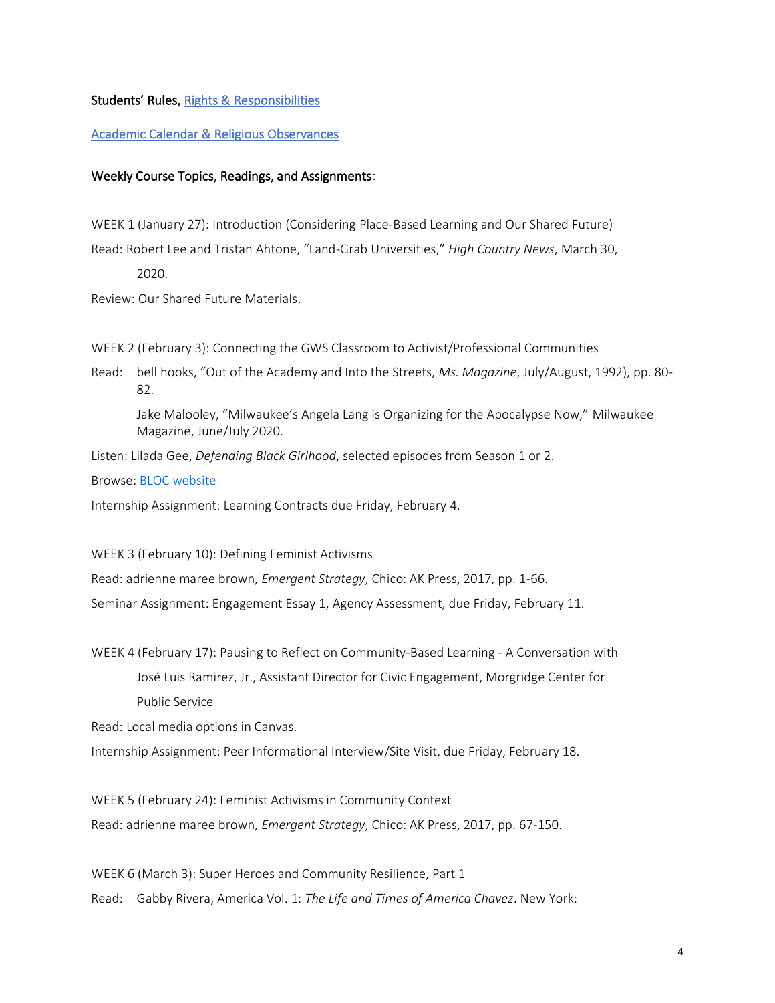#### Students' Rules, [Rights & Responsibilities](https://guide.wisc.edu/undergraduate/#rulesrightsandresponsibilitiestext)

#### [Academic Calendar & Religious Observances](https://secfac.wisc.edu/academic-calendar/)

#### Weekly Course Topics, Readings, and Assignments:

WEEK 1 (January 27): Introduction (Considering Place-Based Learning and Our Shared Future) Read: Robert Lee and Tristan Ahtone, "Land-Grab Universities," *High Country News*, March 30,

2020.

Review: Our Shared Future Materials.

WEEK 2 (February 3): Connecting the GWS Classroom to Activist/Professional Communities

Read: bell hooks, "Out of the Academy and Into the Streets, *Ms. Magazine*, July/August, 1992), pp. 80- 82.

Jake Malooley, "Milwaukee's Angela Lang is Organizing for the Apocalypse Now," Milwaukee Magazine, June/July 2020.

Listen: Lilada Gee, *Defending Black Girlhood*, selected episodes from Season 1 or 2.

Browse: [BLOC website](https://www.populardemocracy.org/our-partners/black-leaders-organizing-communities)

Internship Assignment: Learning Contracts due Friday, February 4.

WEEK 3 (February 10): Defining Feminist Activisms

Read: adrienne maree brown, *Emergent Strategy*, Chico: AK Press, 2017, pp. 1-66.

Seminar Assignment: Engagement Essay 1, Agency Assessment, due Friday, February 11.

WEEK 4 (February 17): Pausing to Reflect on Community-Based Learning - A Conversation with José Luis Ramirez, Jr., Assistant Director for Civic Engagement, Morgridge Center for Public Service

Read: Local media options in Canvas.

Internship Assignment: Peer Informational Interview/Site Visit, due Friday, February 18.

WEEK 5 (February 24): Feminist Activisms in Community Context

Read: adrienne maree brown, *Emergent Strategy*, Chico: AK Press, 2017, pp. 67-150.

WEEK 6 (March 3): Super Heroes and Community Resilience, Part 1

Read: Gabby Rivera, America Vol. 1: *The Life and Times of America Chavez*. New York: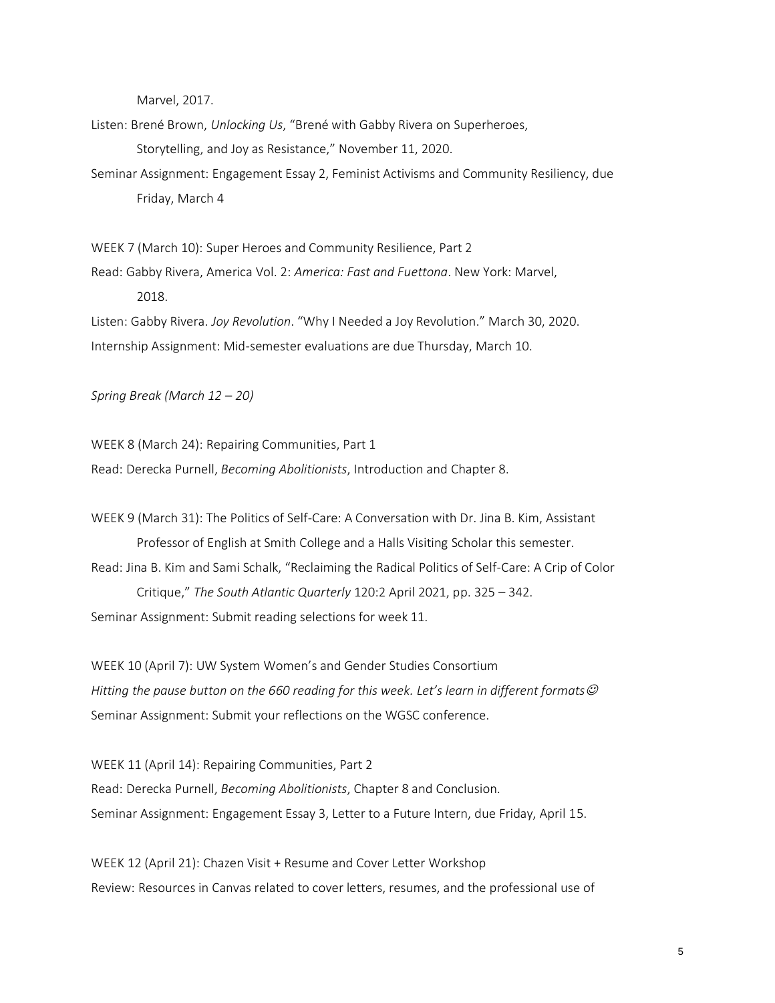Marvel, 2017.

Listen: Brené Brown, *Unlocking Us*, "Brené with Gabby Rivera on Superheroes, Storytelling, and Joy as Resistance," November 11, 2020.

Seminar Assignment: Engagement Essay 2, Feminist Activisms and Community Resiliency, due Friday, March 4

WEEK 7 (March 10): Super Heroes and Community Resilience, Part 2

Read: Gabby Rivera, America Vol. 2: *America: Fast and Fuettona*. New York: Marvel, 2018.

Listen: Gabby Rivera. *Joy Revolution*. "Why I Needed a Joy Revolution." March 30, 2020. Internship Assignment: Mid-semester evaluations are due Thursday, March 10.

*Spring Break (March 12 – 20)*

WEEK 8 (March 24): Repairing Communities, Part 1 Read: Derecka Purnell, *Becoming Abolitionists*, Introduction and Chapter 8.

WEEK 9 (March 31): The Politics of Self-Care: A Conversation with Dr. Jina B. Kim, Assistant Professor of English at Smith College and a Halls Visiting Scholar this semester. Read: Jina B. Kim and Sami Schalk, "Reclaiming the Radical Politics of Self-Care: A Crip of Color Critique," *The South Atlantic Quarterly* 120:2 April 2021, pp. 325 – 342. Seminar Assignment: Submit reading selections for week 11.

WEEK 10 (April 7): UW System Women's and Gender Studies Consortium *Hitting the pause button on the 660 reading for this week. Let's learn in different formats*☺ Seminar Assignment: Submit your reflections on the WGSC conference.

WEEK 11 (April 14): Repairing Communities, Part 2 Read: Derecka Purnell, *Becoming Abolitionists*, Chapter 8 and Conclusion. Seminar Assignment: Engagement Essay 3, Letter to a Future Intern, due Friday, April 15.

WEEK 12 (April 21): Chazen Visit + Resume and Cover Letter Workshop Review: Resources in Canvas related to cover letters, resumes, and the professional use of